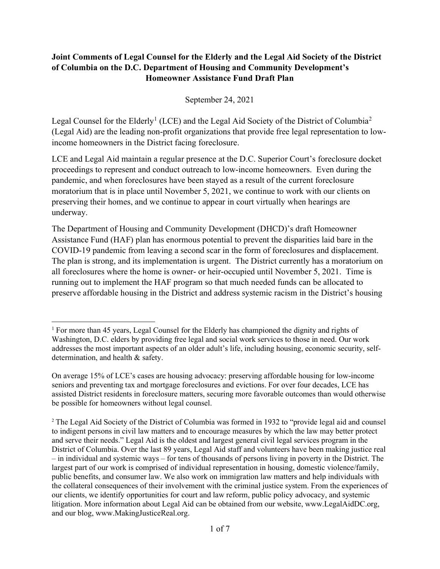### Joint Comments of Legal Counsel for the Elderly and the Legal Aid Society of the District of Columbia on the D.C. Department of Housing and Community Development's Homeowner Assistance Fund Draft Plan

September 24, 2021

Legal Counsel for the Elderly<sup>1</sup> (LCE) and the Legal Aid Society of the District of Columbia<sup>2</sup> (Legal Aid) are the leading non-profit organizations that provide free legal representation to lowincome homeowners in the District facing foreclosure.

LCE and Legal Aid maintain a regular presence at the D.C. Superior Court's foreclosure docket proceedings to represent and conduct outreach to low-income homeowners. Even during the pandemic, and when foreclosures have been stayed as a result of the current foreclosure moratorium that is in place until November 5, 2021, we continue to work with our clients on preserving their homes, and we continue to appear in court virtually when hearings are underway.

The Department of Housing and Community Development (DHCD)'s draft Homeowner Assistance Fund (HAF) plan has enormous potential to prevent the disparities laid bare in the COVID-19 pandemic from leaving a second scar in the form of foreclosures and displacement. The plan is strong, and its implementation is urgent. The District currently has a moratorium on all foreclosures where the home is owner- or heir-occupied until November 5, 2021. Time is running out to implement the HAF program so that much needed funds can be allocated to preserve affordable housing in the District and address systemic racism in the District's housing

<sup>1</sup> For more than 45 years, Legal Counsel for the Elderly has championed the dignity and rights of Washington, D.C. elders by providing free legal and social work services to those in need. Our work addresses the most important aspects of an older adult's life, including housing, economic security, selfdetermination, and health & safety.

On average 15% of LCE's cases are housing advocacy: preserving affordable housing for low-income seniors and preventing tax and mortgage foreclosures and evictions. For over four decades, LCE has assisted District residents in foreclosure matters, securing more favorable outcomes than would otherwise be possible for homeowners without legal counsel.

<sup>2</sup> The Legal Aid Society of the District of Columbia was formed in 1932 to "provide legal aid and counsel to indigent persons in civil law matters and to encourage measures by which the law may better protect and serve their needs." Legal Aid is the oldest and largest general civil legal services program in the District of Columbia. Over the last 89 years, Legal Aid staff and volunteers have been making justice real – in individual and systemic ways – for tens of thousands of persons living in poverty in the District. The largest part of our work is comprised of individual representation in housing, domestic violence/family, public benefits, and consumer law. We also work on immigration law matters and help individuals with the collateral consequences of their involvement with the criminal justice system. From the experiences of our clients, we identify opportunities for court and law reform, public policy advocacy, and systemic litigation. More information about Legal Aid can be obtained from our website, www.LegalAidDC.org, and our blog, www.MakingJusticeReal.org.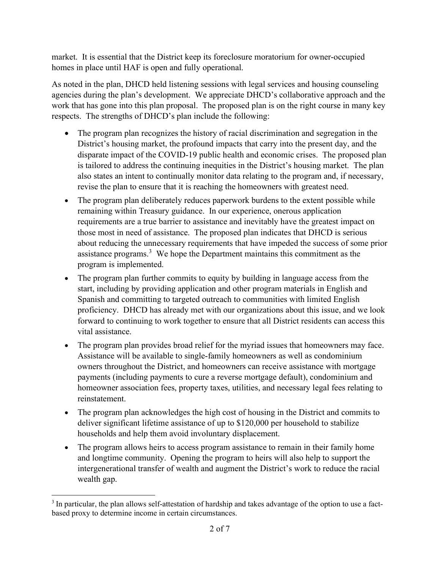market. It is essential that the District keep its foreclosure moratorium for owner-occupied homes in place until HAF is open and fully operational.

As noted in the plan, DHCD held listening sessions with legal services and housing counseling agencies during the plan's development. We appreciate DHCD's collaborative approach and the work that has gone into this plan proposal. The proposed plan is on the right course in many key respects. The strengths of DHCD's plan include the following:

- The program plan recognizes the history of racial discrimination and segregation in the District's housing market, the profound impacts that carry into the present day, and the disparate impact of the COVID-19 public health and economic crises. The proposed plan is tailored to address the continuing inequities in the District's housing market. The plan also states an intent to continually monitor data relating to the program and, if necessary, revise the plan to ensure that it is reaching the homeowners with greatest need.
- The program plan deliberately reduces paperwork burdens to the extent possible while remaining within Treasury guidance. In our experience, onerous application requirements are a true barrier to assistance and inevitably have the greatest impact on those most in need of assistance. The proposed plan indicates that DHCD is serious about reducing the unnecessary requirements that have impeded the success of some prior assistance programs. $3$  We hope the Department maintains this commitment as the program is implemented.
- The program plan further commits to equity by building in language access from the start, including by providing application and other program materials in English and Spanish and committing to targeted outreach to communities with limited English proficiency. DHCD has already met with our organizations about this issue, and we look forward to continuing to work together to ensure that all District residents can access this vital assistance.
- The program plan provides broad relief for the myriad issues that homeowners may face. Assistance will be available to single-family homeowners as well as condominium owners throughout the District, and homeowners can receive assistance with mortgage payments (including payments to cure a reverse mortgage default), condominium and homeowner association fees, property taxes, utilities, and necessary legal fees relating to reinstatement.
- The program plan acknowledges the high cost of housing in the District and commits to deliver significant lifetime assistance of up to \$120,000 per household to stabilize households and help them avoid involuntary displacement.
- The program allows heirs to access program assistance to remain in their family home and longtime community. Opening the program to heirs will also help to support the intergenerational transfer of wealth and augment the District's work to reduce the racial wealth gap.

<sup>&</sup>lt;sup>3</sup> In particular, the plan allows self-attestation of hardship and takes advantage of the option to use a factbased proxy to determine income in certain circumstances.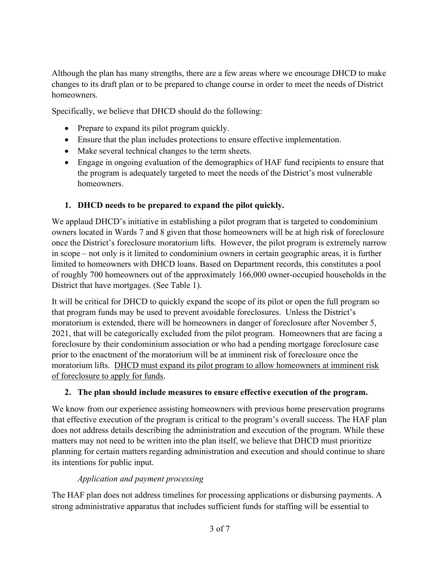Although the plan has many strengths, there are a few areas where we encourage DHCD to make changes to its draft plan or to be prepared to change course in order to meet the needs of District homeowners.

Specifically, we believe that DHCD should do the following:

- Prepare to expand its pilot program quickly.
- Ensure that the plan includes protections to ensure effective implementation.
- Make several technical changes to the term sheets.
- Engage in ongoing evaluation of the demographics of HAF fund recipients to ensure that the program is adequately targeted to meet the needs of the District's most vulnerable homeowners.

### 1. DHCD needs to be prepared to expand the pilot quickly.

We applaud DHCD's initiative in establishing a pilot program that is targeted to condominium owners located in Wards 7 and 8 given that those homeowners will be at high risk of foreclosure once the District's foreclosure moratorium lifts. However, the pilot program is extremely narrow in scope – not only is it limited to condominium owners in certain geographic areas, it is further limited to homeowners with DHCD loans. Based on Department records, this constitutes a pool of roughly 700 homeowners out of the approximately 166,000 owner-occupied households in the District that have mortgages. (See Table 1).

It will be critical for DHCD to quickly expand the scope of its pilot or open the full program so that program funds may be used to prevent avoidable foreclosures. Unless the District's moratorium is extended, there will be homeowners in danger of foreclosure after November 5, 2021, that will be categorically excluded from the pilot program. Homeowners that are facing a foreclosure by their condominium association or who had a pending mortgage foreclosure case prior to the enactment of the moratorium will be at imminent risk of foreclosure once the moratorium lifts. DHCD must expand its pilot program to allow homeowners at imminent risk of foreclosure to apply for funds.

### 2. The plan should include measures to ensure effective execution of the program.

We know from our experience assisting homeowners with previous home preservation programs that effective execution of the program is critical to the program's overall success. The HAF plan does not address details describing the administration and execution of the program. While these matters may not need to be written into the plan itself, we believe that DHCD must prioritize planning for certain matters regarding administration and execution and should continue to share its intentions for public input.

### Application and payment processing

The HAF plan does not address timelines for processing applications or disbursing payments. A strong administrative apparatus that includes sufficient funds for staffing will be essential to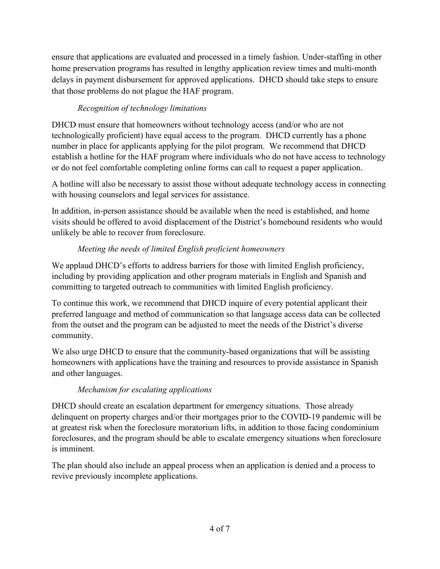ensure that applications are evaluated and processed in a timely fashion. Under-staffing in other home preservation programs has resulted in lengthy application review times and multi-month delays in payment disbursement for approved applications. DHCD should take steps to ensure that those problems do not plague the HAF program.

# Recognition of technology limitations

DHCD must ensure that homeowners without technology access (and/or who are not technologically proficient) have equal access to the program. DHCD currently has a phone number in place for applicants applying for the pilot program. We recommend that DHCD establish a hotline for the HAF program where individuals who do not have access to technology or do not feel comfortable completing online forms can call to request a paper application.

A hotline will also be necessary to assist those without adequate technology access in connecting with housing counselors and legal services for assistance.

In addition, in-person assistance should be available when the need is established, and home visits should be offered to avoid displacement of the District's homebound residents who would unlikely be able to recover from foreclosure.

# Meeting the needs of limited English proficient homeowners

We applaud DHCD's efforts to address barriers for those with limited English proficiency, including by providing application and other program materials in English and Spanish and committing to targeted outreach to communities with limited English proficiency.

To continue this work, we recommend that DHCD inquire of every potential applicant their preferred language and method of communication so that language access data can be collected from the outset and the program can be adjusted to meet the needs of the District's diverse community.

We also urge DHCD to ensure that the community-based organizations that will be assisting homeowners with applications have the training and resources to provide assistance in Spanish and other languages.

# Mechanism for escalating applications

DHCD should create an escalation department for emergency situations. Those already delinquent on property charges and/or their mortgages prior to the COVID-19 pandemic will be at greatest risk when the foreclosure moratorium lifts, in addition to those facing condominium foreclosures, and the program should be able to escalate emergency situations when foreclosure is imminent.

The plan should also include an appeal process when an application is denied and a process to revive previously incomplete applications.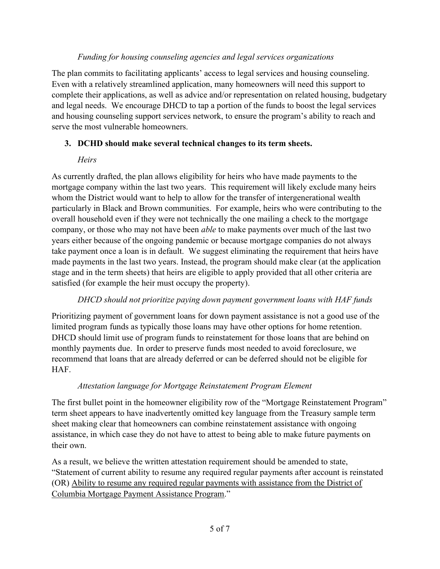#### Funding for housing counseling agencies and legal services organizations

The plan commits to facilitating applicants' access to legal services and housing counseling. Even with a relatively streamlined application, many homeowners will need this support to complete their applications, as well as advice and/or representation on related housing, budgetary and legal needs. We encourage DHCD to tap a portion of the funds to boost the legal services and housing counseling support services network, to ensure the program's ability to reach and serve the most vulnerable homeowners.

### 3. DCHD should make several technical changes to its term sheets.

### **Heirs**

As currently drafted, the plan allows eligibility for heirs who have made payments to the mortgage company within the last two years. This requirement will likely exclude many heirs whom the District would want to help to allow for the transfer of intergenerational wealth particularly in Black and Brown communities. For example, heirs who were contributing to the overall household even if they were not technically the one mailing a check to the mortgage company, or those who may not have been able to make payments over much of the last two years either because of the ongoing pandemic or because mortgage companies do not always take payment once a loan is in default. We suggest eliminating the requirement that heirs have made payments in the last two years. Instead, the program should make clear (at the application stage and in the term sheets) that heirs are eligible to apply provided that all other criteria are satisfied (for example the heir must occupy the property).

### DHCD should not prioritize paying down payment government loans with HAF funds

Prioritizing payment of government loans for down payment assistance is not a good use of the limited program funds as typically those loans may have other options for home retention. DHCD should limit use of program funds to reinstatement for those loans that are behind on monthly payments due. In order to preserve funds most needed to avoid foreclosure, we recommend that loans that are already deferred or can be deferred should not be eligible for HAF.

### Attestation language for Mortgage Reinstatement Program Element

The first bullet point in the homeowner eligibility row of the "Mortgage Reinstatement Program" term sheet appears to have inadvertently omitted key language from the Treasury sample term sheet making clear that homeowners can combine reinstatement assistance with ongoing assistance, in which case they do not have to attest to being able to make future payments on their own.

As a result, we believe the written attestation requirement should be amended to state, "Statement of current ability to resume any required regular payments after account is reinstated (OR) Ability to resume any required regular payments with assistance from the District of Columbia Mortgage Payment Assistance Program."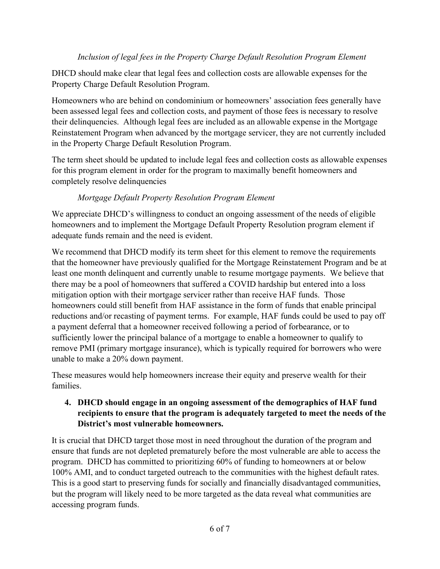### Inclusion of legal fees in the Property Charge Default Resolution Program Element

DHCD should make clear that legal fees and collection costs are allowable expenses for the Property Charge Default Resolution Program.

Homeowners who are behind on condominium or homeowners' association fees generally have been assessed legal fees and collection costs, and payment of those fees is necessary to resolve their delinquencies. Although legal fees are included as an allowable expense in the Mortgage Reinstatement Program when advanced by the mortgage servicer, they are not currently included in the Property Charge Default Resolution Program.

The term sheet should be updated to include legal fees and collection costs as allowable expenses for this program element in order for the program to maximally benefit homeowners and completely resolve delinquencies

### Mortgage Default Property Resolution Program Element

We appreciate DHCD's willingness to conduct an ongoing assessment of the needs of eligible homeowners and to implement the Mortgage Default Property Resolution program element if adequate funds remain and the need is evident.

We recommend that DHCD modify its term sheet for this element to remove the requirements that the homeowner have previously qualified for the Mortgage Reinstatement Program and be at least one month delinquent and currently unable to resume mortgage payments. We believe that there may be a pool of homeowners that suffered a COVID hardship but entered into a loss mitigation option with their mortgage servicer rather than receive HAF funds. Those homeowners could still benefit from HAF assistance in the form of funds that enable principal reductions and/or recasting of payment terms. For example, HAF funds could be used to pay off a payment deferral that a homeowner received following a period of forbearance, or to sufficiently lower the principal balance of a mortgage to enable a homeowner to qualify to remove PMI (primary mortgage insurance), which is typically required for borrowers who were unable to make a 20% down payment.

These measures would help homeowners increase their equity and preserve wealth for their families.

### 4. DHCD should engage in an ongoing assessment of the demographics of HAF fund recipients to ensure that the program is adequately targeted to meet the needs of the District's most vulnerable homeowners.

It is crucial that DHCD target those most in need throughout the duration of the program and ensure that funds are not depleted prematurely before the most vulnerable are able to access the program. DHCD has committed to prioritizing 60% of funding to homeowners at or below 100% AMI, and to conduct targeted outreach to the communities with the highest default rates. This is a good start to preserving funds for socially and financially disadvantaged communities, but the program will likely need to be more targeted as the data reveal what communities are accessing program funds.